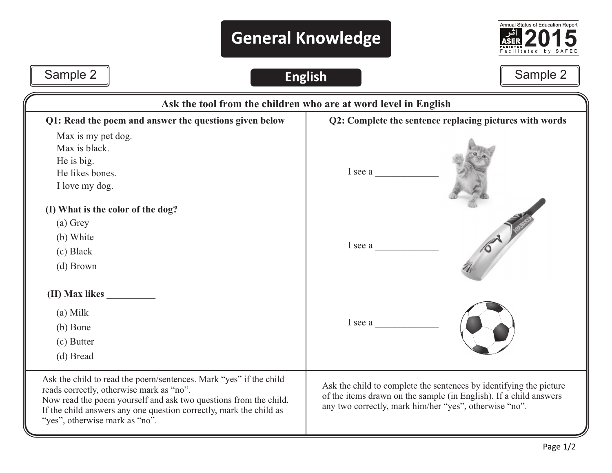## **General Knowledge**



## Sample 2 **Sample 2** Sample 2 **Sample 2**

| Ask the tool from the children who are at word level in English                                                                                                                                                                                                                           |                                                                                                                                                                                                   |  |  |
|-------------------------------------------------------------------------------------------------------------------------------------------------------------------------------------------------------------------------------------------------------------------------------------------|---------------------------------------------------------------------------------------------------------------------------------------------------------------------------------------------------|--|--|
| Q1: Read the poem and answer the questions given below                                                                                                                                                                                                                                    | Q2: Complete the sentence replacing pictures with words<br>I see a                                                                                                                                |  |  |
| Max is my pet dog.<br>Max is black.<br>He is big.<br>He likes bones.<br>I love my dog.                                                                                                                                                                                                    |                                                                                                                                                                                                   |  |  |
| (I) What is the color of the dog?<br>(a) Grey<br>(b) White<br>(c) Black<br>(d) Brown                                                                                                                                                                                                      | I see a                                                                                                                                                                                           |  |  |
| (II) Max likes<br>$(a)$ Milk<br>(b) Bone<br>(c) Butter<br>(d) Bread                                                                                                                                                                                                                       | I see a                                                                                                                                                                                           |  |  |
| Ask the child to read the poem/sentences. Mark "yes" if the child<br>reads correctly, otherwise mark as "no".<br>Now read the poem yourself and ask two questions from the child.<br>If the child answers any one question correctly, mark the child as<br>"yes", otherwise mark as "no". | Ask the child to complete the sentences by identifying the picture<br>of the items drawn on the sample (in English). If a child answers<br>any two correctly, mark him/her "yes", otherwise "no". |  |  |